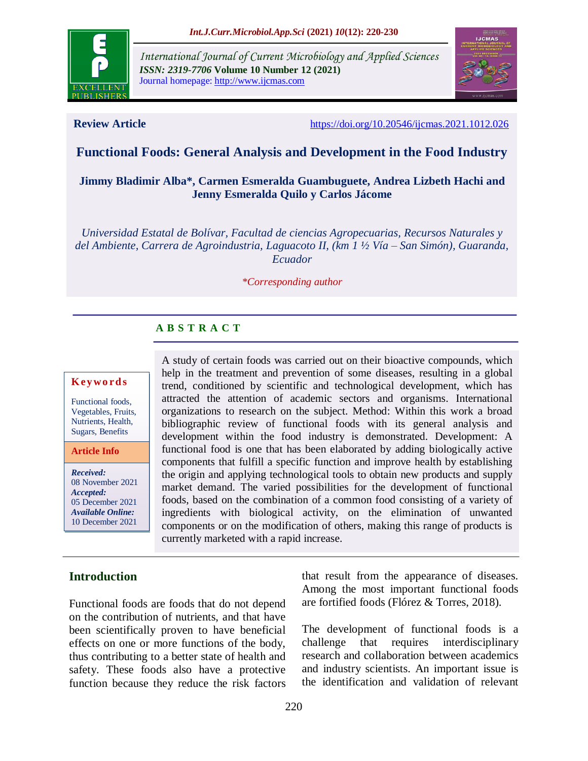

*International Journal of Current Microbiology and Applied Sciences ISSN: 2319-7706* **Volume 10 Number 12 (2021)**  Journal homepage: http://www.ijcmas.com



**Review Article** <https://doi.org/10.20546/ijcmas.2021.1012.026>

## **Functional Foods: General Analysis and Development in the Food Industry**

## **Jimmy Bladimir Alba\*, Carmen Esmeralda Guambuguete, Andrea Lizbeth Hachi and Jenny Esmeralda Quilo y Carlos Jácome**

*Universidad Estatal de Bolívar, Facultad de ciencias Agropecuarias, Recursos Naturales y del Ambiente, Carrera de Agroindustria, Laguacoto II, (km 1 ½ Vía – San Simón), Guaranda, Ecuador*

*\*Corresponding author*

# **A B S T R A C T**

#### **K ey w o rd s**

Functional foods, Vegetables, Fruits, Nutrients, Health, Sugars, Benefits

**Article Info**

*Received:* 08 November 2021 *Accepted:* 05 December 2021 *Available Online:* 10 December 2021

A study of certain foods was carried out on their bioactive compounds, which help in the treatment and prevention of some diseases, resulting in a global trend, conditioned by scientific and technological development, which has attracted the attention of academic sectors and organisms. International organizations to research on the subject. Method: Within this work a broad bibliographic review of functional foods with its general analysis and development within the food industry is demonstrated. Development: A functional food is one that has been elaborated by adding biologically active components that fulfill a specific function and improve health by establishing the origin and applying technological tools to obtain new products and supply market demand. The varied possibilities for the development of functional foods, based on the combination of a common food consisting of a variety of ingredients with biological activity, on the elimination of unwanted components or on the modification of others, making this range of products is currently marketed with a rapid increase.

## **Introduction**

Functional foods are foods that do not depend on the contribution of nutrients, and that have been scientifically proven to have beneficial effects on one or more functions of the body, thus contributing to a better state of health and safety. These foods also have a protective function because they reduce the risk factors

that result from the appearance of diseases. Among the most important functional foods are fortified foods (Flórez & Torres, 2018).

The development of functional foods is a challenge that requires interdisciplinary research and collaboration between academics and industry scientists. An important issue is the identification and validation of relevant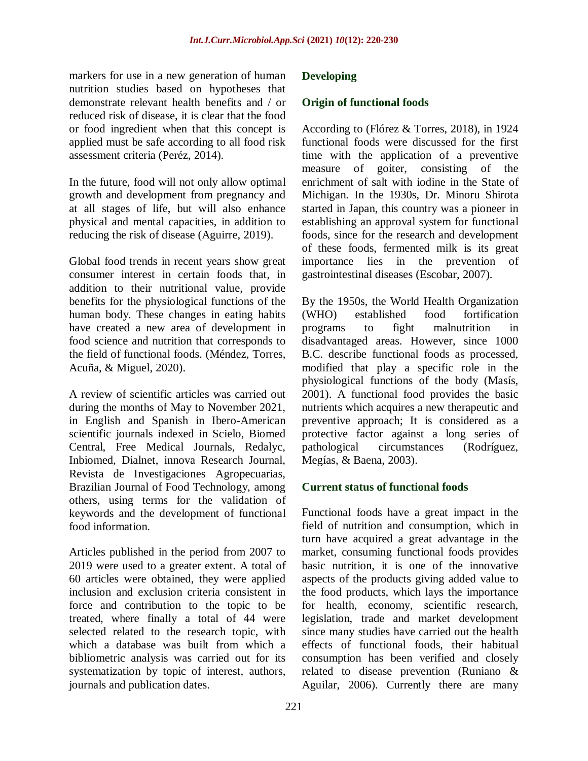markers for use in a new generation of human nutrition studies based on hypotheses that demonstrate relevant health benefits and / or reduced risk of disease, it is clear that the food or food ingredient when that this concept is applied must be safe according to all food risk assessment criteria (Peréz, 2014).

In the future, food will not only allow optimal growth and development from pregnancy and at all stages of life, but will also enhance physical and mental capacities, in addition to reducing the risk of disease (Aguirre, 2019).

Global food trends in recent years show great consumer interest in certain foods that, in addition to their nutritional value, provide benefits for the physiological functions of the human body. These changes in eating habits have created a new area of development in food science and nutrition that corresponds to the field of functional foods. (Méndez, Torres, Acuña, & Miguel, 2020).

A review of scientific articles was carried out during the months of May to November 2021, in English and Spanish in Ibero-American scientific journals indexed in Scielo, Biomed Central, Free Medical Journals, Redalyc, Inbiomed, Dialnet, innova Research Journal, Revista de Investigaciones Agropecuarias, Brazilian Journal of Food Technology, among others, using terms for the validation of keywords and the development of functional food information.

Articles published in the period from 2007 to 2019 were used to a greater extent. A total of 60 articles were obtained, they were applied inclusion and exclusion criteria consistent in force and contribution to the topic to be treated, where finally a total of 44 were selected related to the research topic, with which a database was built from which a bibliometric analysis was carried out for its systematization by topic of interest, authors, journals and publication dates.

## **Developing**

#### **Origin of functional foods**

According to (Flórez & Torres, 2018), in 1924 functional foods were discussed for the first time with the application of a preventive measure of goiter, consisting of the enrichment of salt with iodine in the State of Michigan. In the 1930s, Dr. Minoru Shirota started in Japan, this country was a pioneer in establishing an approval system for functional foods, since for the research and development of these foods, fermented milk is its great importance lies in the prevention of gastrointestinal diseases (Escobar, 2007).

By the 1950s, the World Health Organization (WHO) established food fortification programs to fight malnutrition in disadvantaged areas. However, since 1000 B.C. describe functional foods as processed, modified that play a specific role in the physiological functions of the body (Masís, 2001). A functional food provides the basic nutrients which acquires a new therapeutic and preventive approach; It is considered as a protective factor against a long series of pathological circumstances (Rodríguez, Megías, & Baena, 2003).

## **Current status of functional foods**

Functional foods have a great impact in the field of nutrition and consumption, which in turn have acquired a great advantage in the market, consuming functional foods provides basic nutrition, it is one of the innovative aspects of the products giving added value to the food products, which lays the importance for health, economy, scientific research, legislation, trade and market development since many studies have carried out the health effects of functional foods, their habitual consumption has been verified and closely related to disease prevention (Runiano & Aguilar, 2006). Currently there are many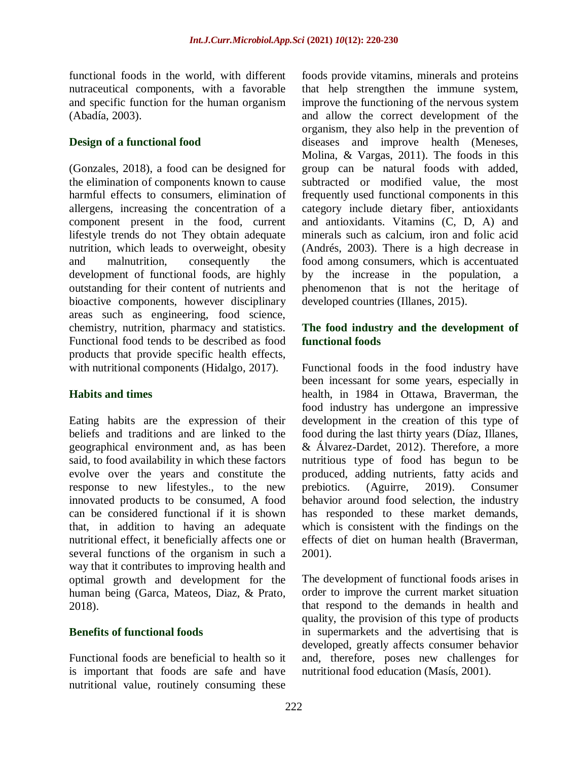functional foods in the world, with different nutraceutical components, with a favorable and specific function for the human organism (Abadía, 2003).

## **Design of a functional food**

(Gonzales, 2018), a food can be designed for the elimination of components known to cause harmful effects to consumers, elimination of allergens, increasing the concentration of a component present in the food, current lifestyle trends do not They obtain adequate nutrition, which leads to overweight, obesity and malnutrition, consequently the development of functional foods, are highly outstanding for their content of nutrients and bioactive components, however disciplinary areas such as engineering, food science, chemistry, nutrition, pharmacy and statistics. Functional food tends to be described as food products that provide specific health effects, with nutritional components (Hidalgo, 2017).

## **Habits and times**

Eating habits are the expression of their beliefs and traditions and are linked to the geographical environment and, as has been said, to food availability in which these factors evolve over the years and constitute the response to new lifestyles., to the new innovated products to be consumed, A food can be considered functional if it is shown that, in addition to having an adequate nutritional effect, it beneficially affects one or several functions of the organism in such a way that it contributes to improving health and optimal growth and development for the human being (Garca, Mateos, Diaz, & Prato, 2018).

## **Benefits of functional foods**

Functional foods are beneficial to health so it is important that foods are safe and have nutritional value, routinely consuming these

foods provide vitamins, minerals and proteins that help strengthen the immune system, improve the functioning of the nervous system and allow the correct development of the organism, they also help in the prevention of diseases and improve health (Meneses, Molina, & Vargas, 2011). The foods in this group can be natural foods with added, subtracted or modified value, the most frequently used functional components in this category include dietary fiber, antioxidants and antioxidants. Vitamins (C, D, A) and minerals such as calcium, iron and folic acid (Andrés, 2003). There is a high decrease in food among consumers, which is accentuated by the increase in the population, a phenomenon that is not the heritage of developed countries (Illanes, 2015).

## **The food industry and the development of functional foods**

Functional foods in the food industry have been incessant for some years, especially in health, in 1984 in Ottawa, Braverman, the food industry has undergone an impressive development in the creation of this type of food during the last thirty years (Díaz, Illanes, & Álvarez-Dardet, 2012). Therefore, a more nutritious type of food has begun to be produced, adding nutrients, fatty acids and prebiotics. (Aguirre, 2019). Consumer behavior around food selection, the industry has responded to these market demands, which is consistent with the findings on the effects of diet on human health (Braverman, 2001).

The development of functional foods arises in order to improve the current market situation that respond to the demands in health and quality, the provision of this type of products in supermarkets and the advertising that is developed, greatly affects consumer behavior and, therefore, poses new challenges for nutritional food education (Masís, 2001).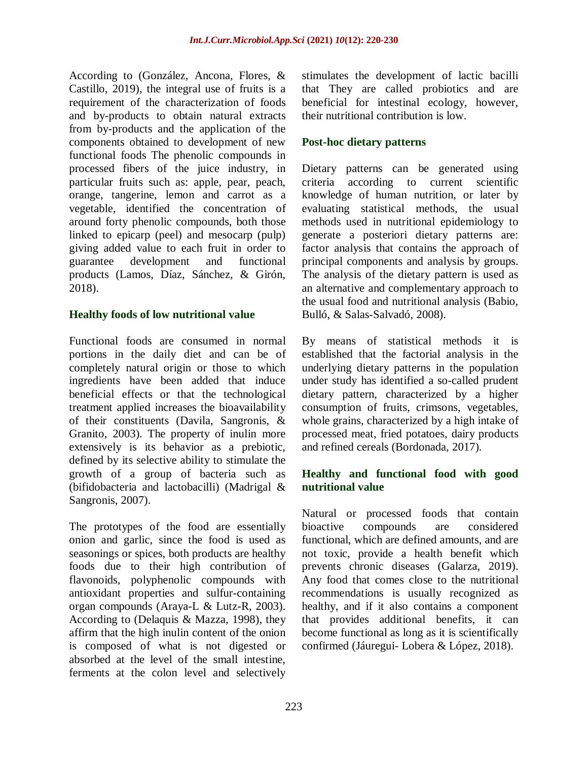According to (González, Ancona, Flores, & Castillo, 2019), the integral use of fruits is a requirement of the characterization of foods and by-products to obtain natural extracts from by-products and the application of the components obtained to development of new functional foods The phenolic compounds in processed fibers of the juice industry, in particular fruits such as: apple, pear, peach, orange, tangerine, lemon and carrot as a vegetable, identified the concentration of around forty phenolic compounds, both those linked to epicarp (peel) and mesocarp (pulp) giving added value to each fruit in order to guarantee development and functional products (Lamos, Díaz, Sánchez, & Girón, 2018).

#### **Healthy foods of low nutritional value**

Functional foods are consumed in normal portions in the daily diet and can be of completely natural origin or those to which ingredients have been added that induce beneficial effects or that the technological treatment applied increases the bioavailability of their constituents (Davila, Sangronis, & Granito, 2003). The property of inulin more extensively is its behavior as a prebiotic, defined by its selective ability to stimulate the growth of a group of bacteria such as (bifidobacteria and lactobacilli) (Madrigal & Sangronis, 2007).

The prototypes of the food are essentially onion and garlic, since the food is used as seasonings or spices, both products are healthy foods due to their high contribution of flavonoids, polyphenolic compounds with antioxidant properties and sulfur-containing organ compounds (Araya-L & Lutz-R, 2003). According to (Delaquis & Mazza, 1998), they affirm that the high inulin content of the onion is composed of what is not digested or absorbed at the level of the small intestine, ferments at the colon level and selectively stimulates the development of lactic bacilli that They are called probiotics and are beneficial for intestinal ecology, however, their nutritional contribution is low.

## **Post-hoc dietary patterns**

Dietary patterns can be generated using criteria according to current scientific knowledge of human nutrition, or later by evaluating statistical methods, the usual methods used in nutritional epidemiology to generate a posteriori dietary patterns are: factor analysis that contains the approach of principal components and analysis by groups. The analysis of the dietary pattern is used as an alternative and complementary approach to the usual food and nutritional analysis (Babio, Bulló, & Salas-Salvadó, 2008).

By means of statistical methods it is established that the factorial analysis in the underlying dietary patterns in the population under study has identified a so-called prudent dietary pattern, characterized by a higher consumption of fruits, crimsons, vegetables, whole grains, characterized by a high intake of processed meat, fried potatoes, dairy products and refined cereals (Bordonada, 2017).

## **Healthy and functional food with good nutritional value**

Natural or processed foods that contain bioactive compounds are considered functional, which are defined amounts, and are not toxic, provide a health benefit which prevents chronic diseases (Galarza, 2019). Any food that comes close to the nutritional recommendations is usually recognized as healthy, and if it also contains a component that provides additional benefits, it can become functional as long as it is scientifically confirmed (Jáuregui- Lobera & López, 2018).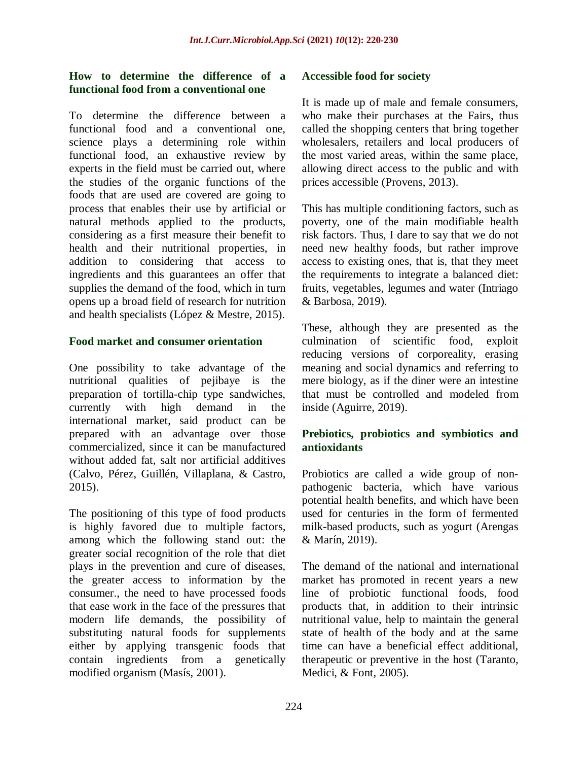#### **How to determine the difference of a functional food from a conventional one**

To determine the difference between a functional food and a conventional one, science plays a determining role within functional food, an exhaustive review by experts in the field must be carried out, where the studies of the organic functions of the foods that are used are covered are going to process that enables their use by artificial or natural methods applied to the products, considering as a first measure their benefit to health and their nutritional properties, in addition to considering that access to ingredients and this guarantees an offer that supplies the demand of the food, which in turn opens up a broad field of research for nutrition and health specialists (López & Mestre, 2015).

#### **Food market and consumer orientation**

One possibility to take advantage of the nutritional qualities of pejibaye is the preparation of tortilla-chip type sandwiches, currently with high demand in the international market, said product can be prepared with an advantage over those commercialized, since it can be manufactured without added fat, salt nor artificial additives (Calvo, Pérez, Guillén, Villaplana, & Castro, 2015).

The positioning of this type of food products is highly favored due to multiple factors, among which the following stand out: the greater social recognition of the role that diet plays in the prevention and cure of diseases, the greater access to information by the consumer., the need to have processed foods that ease work in the face of the pressures that modern life demands, the possibility of substituting natural foods for supplements either by applying transgenic foods that contain ingredients from a genetically modified organism (Masís, 2001).

#### **Accessible food for society**

It is made up of male and female consumers, who make their purchases at the Fairs, thus called the shopping centers that bring together wholesalers, retailers and local producers of the most varied areas, within the same place, allowing direct access to the public and with prices accessible (Provens, 2013).

This has multiple conditioning factors, such as poverty, one of the main modifiable health risk factors. Thus, I dare to say that we do not need new healthy foods, but rather improve access to existing ones, that is, that they meet the requirements to integrate a balanced diet: fruits, vegetables, legumes and water (Intriago & Barbosa, 2019).

These, although they are presented as the culmination of scientific food, exploit reducing versions of corporeality, erasing meaning and social dynamics and referring to mere biology, as if the diner were an intestine that must be controlled and modeled from inside (Aguirre, 2019).

## **Prebiotics, probiotics and symbiotics and antioxidants**

Probiotics are called a wide group of nonpathogenic bacteria, which have various potential health benefits, and which have been used for centuries in the form of fermented milk-based products, such as yogurt (Arengas & Marín, 2019).

The demand of the national and international market has promoted in recent years a new line of probiotic functional foods, food products that, in addition to their intrinsic nutritional value, help to maintain the general state of health of the body and at the same time can have a beneficial effect additional, therapeutic or preventive in the host (Taranto, Medici, & Font, 2005).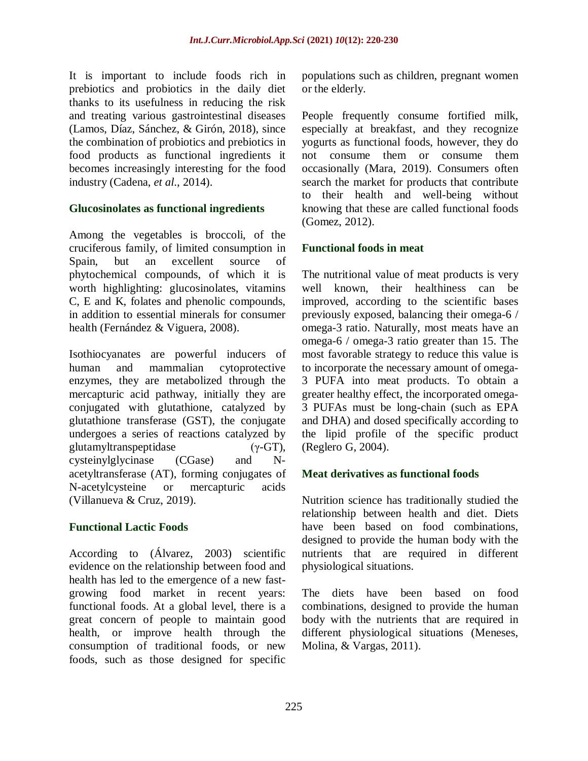It is important to include foods rich in prebiotics and probiotics in the daily diet thanks to its usefulness in reducing the risk and treating various gastrointestinal diseases (Lamos, Díaz, Sánchez, & Girón, 2018), since the combination of probiotics and prebiotics in food products as functional ingredients it becomes increasingly interesting for the food industry (Cadena, *et al.,* 2014).

#### **Glucosinolates as functional ingredients**

Among the vegetables is broccoli, of the cruciferous family, of limited consumption in Spain, but an excellent source of phytochemical compounds, of which it is worth highlighting: glucosinolates, vitamins C, E and K, folates and phenolic compounds, in addition to essential minerals for consumer health (Fernández & Viguera, 2008).

Isothiocyanates are powerful inducers of human and mammalian cytoprotective enzymes, they are metabolized through the mercapturic acid pathway, initially they are conjugated with glutathione, catalyzed by glutathione transferase (GST), the conjugate undergoes a series of reactions catalyzed by glutamyltranspeptidase (γ-GT), cysteinylglycinase (CGase) and Nacetyltransferase (AT), forming conjugates of N-acetylcysteine or mercapturic acids (Villanueva & Cruz, 2019).

#### **Functional Lactic Foods**

According to (Álvarez, 2003) scientific evidence on the relationship between food and health has led to the emergence of a new fastgrowing food market in recent years: functional foods. At a global level, there is a great concern of people to maintain good health, or improve health through the consumption of traditional foods, or new foods, such as those designed for specific

populations such as children, pregnant women or the elderly.

People frequently consume fortified milk, especially at breakfast, and they recognize yogurts as functional foods, however, they do not consume them or consume them occasionally (Mara, 2019). Consumers often search the market for products that contribute to their health and well-being without knowing that these are called functional foods (Gomez, 2012).

#### **Functional foods in meat**

The nutritional value of meat products is very well known, their healthiness can be improved, according to the scientific bases previously exposed, balancing their omega-6 / omega-3 ratio. Naturally, most meats have an omega-6 / omega-3 ratio greater than 15. The most favorable strategy to reduce this value is to incorporate the necessary amount of omega-3 PUFA into meat products. To obtain a greater healthy effect, the incorporated omega-3 PUFAs must be long-chain (such as EPA and DHA) and dosed specifically according to the lipid profile of the specific product (Reglero G, 2004).

#### **Meat derivatives as functional foods**

Nutrition science has traditionally studied the relationship between health and diet. Diets have been based on food combinations, designed to provide the human body with the nutrients that are required in different physiological situations.

The diets have been based on food combinations, designed to provide the human body with the nutrients that are required in different physiological situations (Meneses, Molina, & Vargas, 2011).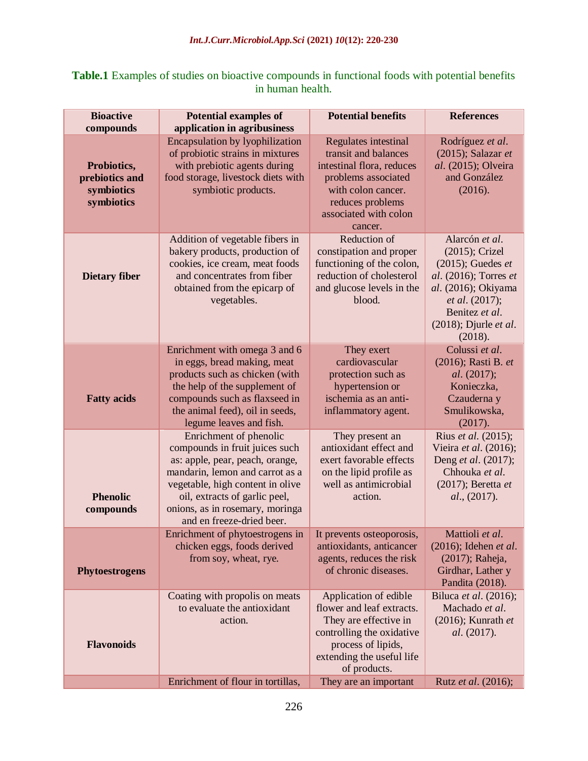| <b>Table.1</b> Examples of studies on bioactive compounds in functional foods with potential benefits |
|-------------------------------------------------------------------------------------------------------|
| in human health.                                                                                      |

| <b>Bioactive</b>                                          | <b>Potential examples of</b>                                                                                                                                                                                                                                        | <b>Potential benefits</b>                                                                                                                                                      | <b>References</b>                                                                                                                                                                   |
|-----------------------------------------------------------|---------------------------------------------------------------------------------------------------------------------------------------------------------------------------------------------------------------------------------------------------------------------|--------------------------------------------------------------------------------------------------------------------------------------------------------------------------------|-------------------------------------------------------------------------------------------------------------------------------------------------------------------------------------|
| compounds                                                 | application in agribusiness                                                                                                                                                                                                                                         |                                                                                                                                                                                |                                                                                                                                                                                     |
| Probiotics,<br>prebiotics and<br>symbiotics<br>symbiotics | <b>Encapsulation by lyophilization</b><br>of probiotic strains in mixtures<br>with prebiotic agents during<br>food storage, livestock diets with<br>symbiotic products.                                                                                             | Regulates intestinal<br>transit and balances<br>intestinal flora, reduces<br>problems associated<br>with colon cancer.<br>reduces problems<br>associated with colon<br>cancer. | Rodríguez et al.<br>$(2015)$ ; Salazar et<br>al. (2015); Olveira<br>and González<br>(2016).                                                                                         |
| <b>Dietary fiber</b>                                      | Addition of vegetable fibers in<br>bakery products, production of<br>cookies, ice cream, meat foods<br>and concentrates from fiber<br>obtained from the epicarp of<br>vegetables.                                                                                   | Reduction of<br>constipation and proper<br>functioning of the colon,<br>reduction of cholesterol<br>and glucose levels in the<br>blood.                                        | Alarcón et al.<br>(2015); Crizel<br>$(2015)$ ; Guedes et<br>al. (2016); Torres et<br>al. (2016); Okiyama<br>et al. (2017);<br>Benitez et al.<br>$(2018)$ ; Djurle et al.<br>(2018). |
| <b>Fatty acids</b>                                        | Enrichment with omega 3 and 6<br>in eggs, bread making, meat<br>products such as chicken (with<br>the help of the supplement of<br>compounds such as flaxseed in<br>the animal feed), oil in seeds,<br>legume leaves and fish.                                      | They exert<br>cardiovascular<br>protection such as<br>hypertension or<br>ischemia as an anti-<br>inflammatory agent.                                                           | Colussi et al.<br>(2016); Rasti B. et<br>al. (2017);<br>Konieczka,<br>Czauderna y<br>Smulikowska,<br>(2017).                                                                        |
| <b>Phenolic</b><br>compounds                              | Enrichment of phenolic<br>compounds in fruit juices such<br>as: apple, pear, peach, orange,<br>mandarin, lemon and carrot as a<br>vegetable, high content in olive<br>oil, extracts of garlic peel,<br>onions, as in rosemary, moringa<br>and en freeze-dried beer. | They present an<br>antioxidant effect and<br>exert favorable effects<br>on the lipid profile as<br>well as antimicrobial<br>action.                                            | Rius et al. (2015);<br>Vieira et al. (2016);<br>Deng et al. (2017);<br>Chhouka et al.<br>$(2017)$ ; Beretta et<br>al., (2017).                                                      |
| <b>Phytoestrogens</b>                                     | Enrichment of phytoestrogens in<br>chicken eggs, foods derived<br>from soy, wheat, rye.                                                                                                                                                                             | It prevents osteoporosis,<br>antioxidants, anticancer<br>agents, reduces the risk<br>of chronic diseases.                                                                      | Mattioli et al.<br>$(2016)$ ; Idehen et al.<br>(2017); Raheja,<br>Girdhar, Lather y<br>Pandita (2018).                                                                              |
| <b>Flavonoids</b>                                         | Coating with propolis on meats<br>to evaluate the antioxidant<br>action.                                                                                                                                                                                            | Application of edible<br>flower and leaf extracts.<br>They are effective in<br>controlling the oxidative<br>process of lipids,<br>extending the useful life<br>of products.    | Biluca et al. (2016);<br>Machado et al.<br>$(2016)$ ; Kunrath et<br><i>al.</i> (2017).                                                                                              |
|                                                           | Enrichment of flour in tortillas,                                                                                                                                                                                                                                   | They are an important                                                                                                                                                          | Rutz et al. (2016);                                                                                                                                                                 |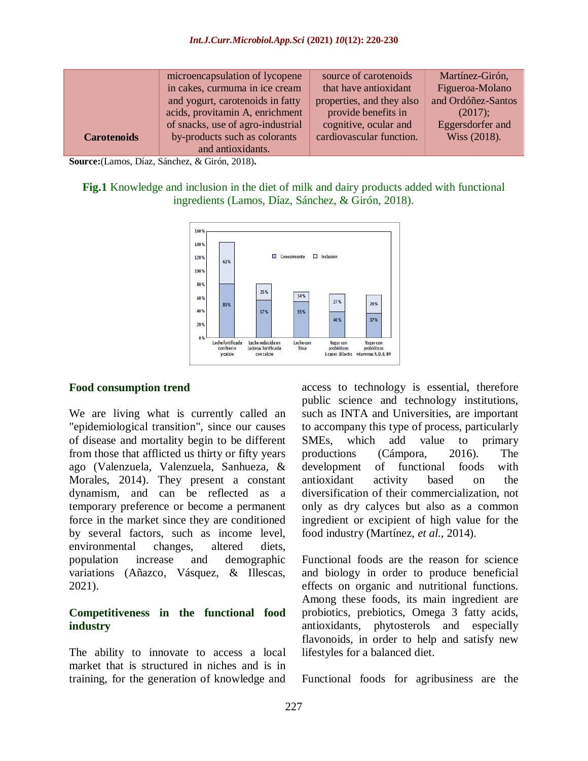|                    | microencapsulation of lycopene    | source of carotenoids     | Martínez-Girón,    |
|--------------------|-----------------------------------|---------------------------|--------------------|
|                    | in cakes, curmuma in ice cream    | that have antioxidant     | Figueroa-Molano    |
|                    | and yogurt, carotenoids in fatty  | properties, and they also | and Ordóñez-Santos |
|                    | acids, provitamin A, enrichment   | provide benefits in       | (2017);            |
|                    | of snacks, use of agro-industrial | cognitive, ocular and     | Eggersdorfer and   |
| <b>Carotenoids</b> | by-products such as colorants     | cardiovascular function.  | Wiss (2018).       |
|                    | and antioxidants.                 |                           |                    |

**Source:**(Lamos, Díaz, Sánchez, & Girón, 2018)**.**

**Fig.1** Knowledge and inclusion in the diet of milk and dairy products added with functional ingredients (Lamos, Díaz, Sánchez, & Girón, 2018).



#### **Food consumption trend**

We are living what is currently called an "epidemiological transition", since our causes of disease and mortality begin to be different from those that afflicted us thirty or fifty years ago (Valenzuela, Valenzuela, Sanhueza, & Morales, 2014). They present a constant dynamism, and can be reflected as a temporary preference or become a permanent force in the market since they are conditioned by several factors, such as income level, environmental changes, altered diets, population increase and demographic variations (Añazco, Vásquez, & Illescas, 2021).

#### **Competitiveness in the functional food industry**

The ability to innovate to access a local market that is structured in niches and is in training, for the generation of knowledge and

access to technology is essential, therefore public science and technology institutions, such as INTA and Universities, are important to accompany this type of process, particularly SMEs, which add value to primary productions (Cámpora, 2016). The development of functional foods with antioxidant activity based on the diversification of their commercialization, not only as dry calyces but also as a common ingredient or excipient of high value for the food industry (Martínez, *et al.,* 2014).

Functional foods are the reason for science and biology in order to produce beneficial effects on organic and nutritional functions. Among these foods, its main ingredient are probiotics, prebiotics, Omega 3 fatty acids, antioxidants, phytosterols and especially flavonoids, in order to help and satisfy new lifestyles for a balanced diet.

Functional foods for agribusiness are the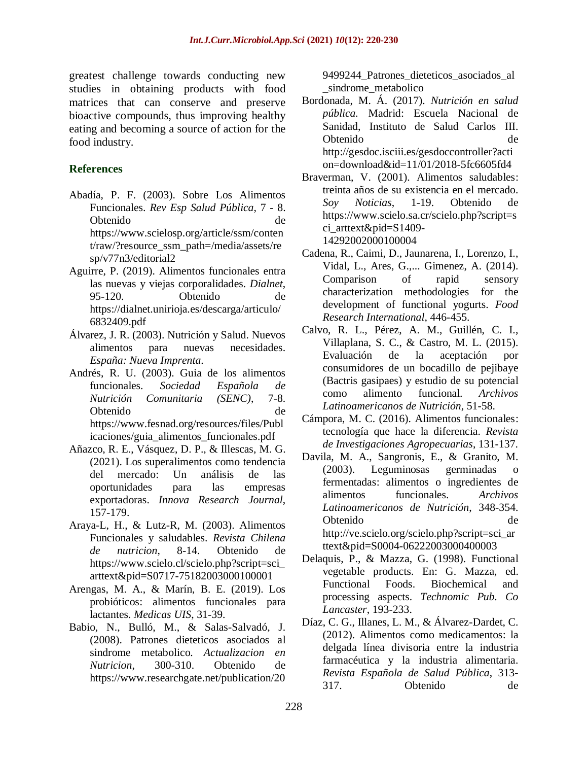greatest challenge towards conducting new studies in obtaining products with food matrices that can conserve and preserve bioactive compounds, thus improving healthy eating and becoming a source of action for the food industry.

## **References**

- Abadía, P. F. (2003). Sobre Los Alimentos Funcionales. *Rev Esp Salud Pública*, 7 - 8. Obtenido de https://www.scielosp.org/article/ssm/conten t/raw/?resource\_ssm\_path=/media/assets/re sp/v77n3/editorial2
- Aguirre, P. (2019). Alimentos funcionales entra las nuevas y viejas corporalidades. *Dialnet*, 95-120. Obtenido de https://dialnet.unirioja.es/descarga/articulo/ 6832409.pdf
- Álvarez, J. R. (2003). Nutrición y Salud. Nuevos alimentos para nuevas necesidades. *España: Nueva Imprenta*.
- Andrés, R. U. (2003). Guia de los alimentos funcionales. *Sociedad Española de Nutrición Comunitaria (SENC)*, 7-8. Obtenido de https://www.fesnad.org/resources/files/Publ icaciones/guia\_alimentos\_funcionales.pdf
- Añazco, R. E., Vásquez, D. P., & Illescas, M. G. (2021). Los superalimentos como tendencia del mercado: Un análisis de las oportunidades para las empresas exportadoras. *Innova Research Journal*, 157-179.
- Araya-L, H., & Lutz-R, M. (2003). Alimentos Funcionales y saludables. *Revista Chilena de nutricion*, 8-14. Obtenido de https://www.scielo.cl/scielo.php?script=sci\_ arttext&pid=S0717-75182003000100001
- Arengas, M. A., & Marín, B. E. (2019). Los probióticos: alimentos funcionales para lactantes. *Medicas UIS*, 31-39.
- Babio, N., Bulló, M., & Salas-Salvadó, J. (2008). Patrones dieteticos asociados al sindrome metabolico. *Actualizacion en Nutricion*, 300-310. Obtenido de https://www.researchgate.net/publication/20

9499244\_Patrones\_dieteticos\_asociados\_al \_sindrome\_metabolico

- Bordonada, M. Á. (2017). *Nutrición en salud pública.* Madrid: Escuela Nacional de Sanidad, Instituto de Salud Carlos III. Obtenido de http://gesdoc.isciii.es/gesdoccontroller?acti on=download&id=11/01/2018-5fc6605fd4
- Braverman, V. (2001). Alimentos saludables: treinta años de su existencia en el mercado. *Soy Noticias*, 1-19. Obtenido de https://www.scielo.sa.cr/scielo.php?script=s ci arttext&pid=S1409-14292002000100004
- Cadena, R., Caimi, D., Jaunarena, I., Lorenzo, I., Vidal, L., Ares, G.,... Gimenez, A. (2014). Comparison of rapid sensory characterization methodologies for the development of functional yogurts. *Food Research International*, 446-455.
- Calvo, R. L., Pérez, A. M., Guillén, C. I., Villaplana, S. C., & Castro, M. L. (2015). Evaluación de la aceptación por consumidores de un bocadillo de pejibaye (Bactris gasipaes) y estudio de su potencial como alimento funcional. *Archivos Latinoamericanos de Nutrición*, 51-58.
- Cámpora, M. C. (2016). Alimentos funcionales: tecnología que hace la diferencia. *Revista de Investigaciones Agropecuarias*, 131-137.
- Davila, M. A., Sangronis, E., & Granito, M. (2003). Leguminosas germinadas o fermentadas: alimentos o ingredientes de alimentos funcionales. *Archivos Latinoamericanos de Nutrición*, 348-354. Obtenido de http://ve.scielo.org/scielo.php?script=sci\_ar ttext&pid=S0004-06222003000400003
- Delaquis, P., & Mazza, G. (1998). Functional vegetable products. En: G. Mazza, ed. Functional Foods. Biochemical and processing aspects. *Technomic Pub. Co Lancaster*, 193-233.
- Díaz, C. G., Illanes, L. M., & Álvarez-Dardet, C. (2012). Alimentos como medicamentos: la delgada línea divisoria entre la industria farmacéutica y la industria alimentaria. *Revista Española de Salud Pública*, 313- 317. Obtenido de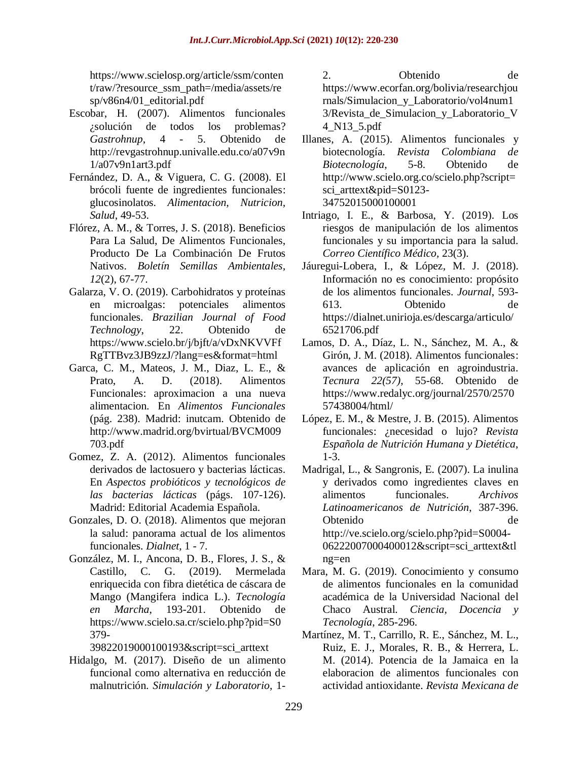https://www.scielosp.org/article/ssm/conten t/raw/?resource\_ssm\_path=/media/assets/re sp/v86n4/01\_editorial.pdf

- Escobar, H. (2007). Alimentos funcionales ¿solución de todos los problemas? *Gastrohnup*, 4 - 5. Obtenido de http://revgastrohnup.univalle.edu.co/a07v9n 1/a07v9n1art3.pdf
- Fernández, D. A., & Viguera, C. G. (2008). El brócoli fuente de ingredientes funcionales: glucosinolatos. *Alimentacion, Nutricion, Salud*, 49-53.
- Flórez, A. M., & Torres, J. S. (2018). Beneficios Para La Salud, De Alimentos Funcionales, Producto De La Combinación De Frutos Nativos. *Boletín Semillas Ambientales, 12*(2), 67-77.
- Galarza, V. O. (2019). Carbohidratos y proteínas en microalgas: potenciales alimentos funcionales. *Brazilian Journal of Food Technology*, 22. Obtenido de https://www.scielo.br/j/bjft/a/vDxNKVVFf RgTTBvz3JB9zzJ/?lang=es&format=html
- Garca, C. M., Mateos, J. M., Diaz, L. E., & Prato, A. D. (2018). Alimentos Funcionales: aproximacion a una nueva alimentacion. En *Alimentos Funcionales* (pág. 238). Madrid: inutcam. Obtenido de http://www.madrid.org/bvirtual/BVCM009 703.pdf
- Gomez, Z. A. (2012). Alimentos funcionales derivados de lactosuero y bacterias lácticas. En *Aspectos probióticos y tecnológicos de las bacterias lácticas* (págs. 107-126). Madrid: Editorial Academia Española.
- Gonzales, D. O. (2018). Alimentos que mejoran la salud: panorama actual de los alimentos funcionales. *Dialnet*, 1 - 7.
- González, M. I., Ancona, D. B., Flores, J. S., & Castillo, C. G. (2019). Mermelada enriquecida con fibra dietética de cáscara de Mango (Mangifera indica L.). *Tecnología en Marcha*, 193-201. Obtenido de https://www.scielo.sa.cr/scielo.php?pid=S0 379-

39822019000100193&script=sci\_arttext

Hidalgo, M. (2017). Diseño de un alimento funcional como alternativa en reducción de malnutrición. *Simulación y Laboratorio*, 1-

2. Obtenido de https://www.ecorfan.org/bolivia/researchjou rnals/Simulacion\_y\_Laboratorio/vol4num1 3/Revista\_de\_Simulacion\_y\_Laboratorio\_V 4\_N13\_5.pdf

- Illanes, A. (2015). Alimentos funcionales y biotecnología. *Revista Colombiana de Biotecnología*, 5-8. Obtenido de http://www.scielo.org.co/scielo.php?script= sci\_arttext&pid=S0123- 34752015000100001
- Intriago, I. E., & Barbosa, Y. (2019). Los riesgos de manipulación de los alimentos funcionales y su importancia para la salud. *Correo Científico Médico,* 23(3).
- Jáuregui-Lobera, I., & López, M. J. (2018). Información no es conocimiento: propósito de los alimentos funcionales. *Journal*, 593- 613. Obtenido de https://dialnet.unirioja.es/descarga/articulo/ 6521706.pdf
- Lamos, D. A., Díaz, L. N., Sánchez, M. A., & Girón, J. M. (2018). Alimentos funcionales: avances de aplicación en agroindustria. *Tecnura 22(57)*, 55-68. Obtenido de https://www.redalyc.org/journal/2570/2570 57438004/html/
- López, E. M., & Mestre, J. B. (2015). Alimentos funcionales: ¿necesidad o lujo? *Revista Española de Nutrición Humana y Dietética*, 1-3.
- Madrigal, L., & Sangronis, E. (2007). La inulina y derivados como ingredientes claves en alimentos funcionales. *Archivos Latinoamericanos de Nutrición*, 387-396. Obtenido de http://ve.scielo.org/scielo.php?pid=S0004- 06222007000400012&script=sci\_arttext&tl ng=en
- Mara, M. G. (2019). Conocimiento y consumo de alimentos funcionales en la comunidad académica de la Universidad Nacional del Chaco Austral. *Ciencia, Docencia y Tecnología*, 285-296.
- Martínez, M. T., Carrillo, R. E., Sánchez, M. L., Ruiz, E. J., Morales, R. B., & Herrera, L. M. (2014). Potencia de la Jamaica en la elaboracion de alimentos funcionales con actividad antioxidante. *Revista Mexicana de*